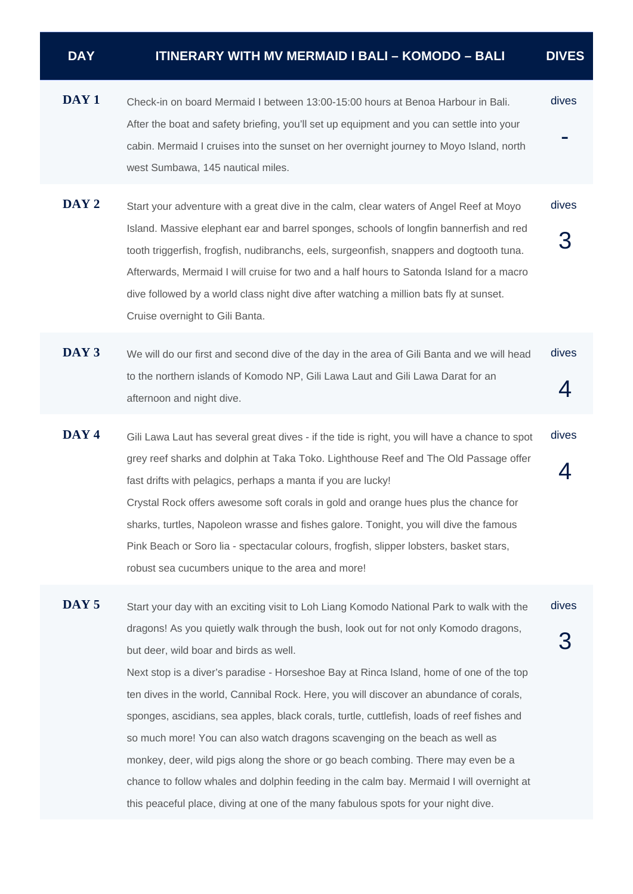| <b>DAY</b> | <b>ITINERARY WITH MV MERMAID I BALI – KOMODO – BALI</b> | <b>DIVES</b> |
|------------|---------------------------------------------------------|--------------|
|            |                                                         |              |

- **DAY 1** Check-in on board Mermaid I between 13:00-15:00 hours at Benoa Harbour in Bali. After the boat and safety briefing, you'll set up equipment and you can settle into your cabin. Mermaid I cruises into the sunset on her overnight journey to Moyo Island, north west Sumbawa, 145 nautical miles. dives -
- **DAY 2** Start your adventure with a great dive in the calm, clear waters of Angel Reef at Moyo Island. Massive elephant ear and barrel sponges, schools of longfin bannerfish and red tooth triggerfish, frogfish, nudibranchs, eels, surgeonfish, snappers and dogtooth tuna. Afterwards, Mermaid I will cruise for two and a half hours to Satonda Island for a macro dive followed by a world class night dive after watching a million bats fly at sunset. Cruise overnight to Gili Banta. dives 3
- **DAY 3** We will do our first and second dive of the day in the area of Gili Banta and we will head to the northern islands of Komodo NP, Gili Lawa Laut and Gili Lawa Darat for an afternoon and night dive. dives 4
- **DAY 4** Gili Lawa Laut has several great dives if the tide is right, you will have a chance to spot grey reef sharks and dolphin at Taka Toko. Lighthouse Reef and The Old Passage offer fast drifts with pelagics, perhaps a manta if you are lucky! Crystal Rock offers awesome soft corals in gold and orange hues plus the chance for sharks, turtles, Napoleon wrasse and fishes galore. Tonight, you will dive the famous Pink Beach or Soro lia - spectacular colours, frogfish, slipper lobsters, basket stars, robust sea cucumbers unique to the area and more! dives 4

**DAY 5** Start your day with an exciting visit to Loh Liang Komodo National Park to walk with the dragons! As you quietly walk through the bush, look out for not only Komodo dragons, but deer, wild boar and birds as well. Next stop is a diver's paradise - Horseshoe Bay at Rinca Island, home of one of the top ten dives in the world, Cannibal Rock. Here, you will discover an abundance of corals, sponges, ascidians, sea apples, black corals, turtle, cuttlefish, loads of reef fishes and so much more! You can also watch dragons scavenging on the beach as well as monkey, deer, wild pigs along the shore or go beach combing. There may even be a chance to follow whales and dolphin feeding in the calm bay. Mermaid I will overnight at this peaceful place, diving at one of the many fabulous spots for your night dive. dives 3